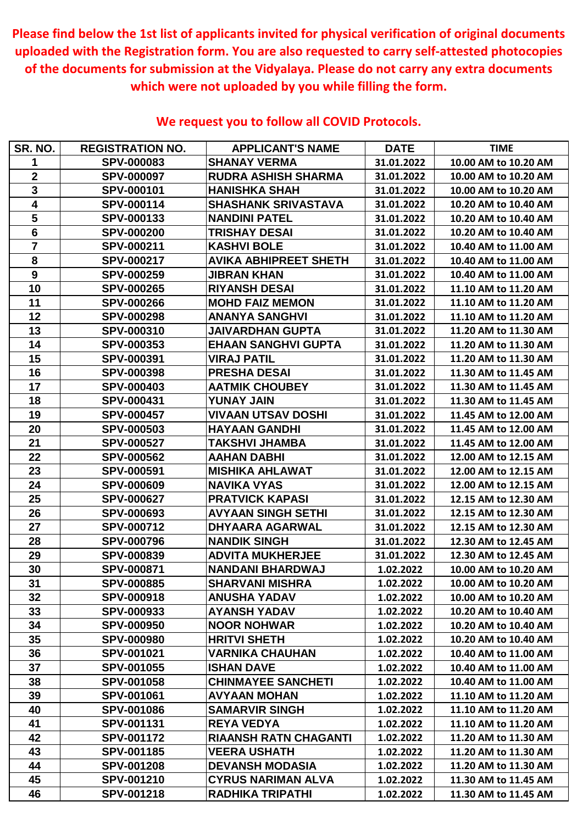| SR. NO.                 | <b>REGISTRATION NO.</b> | <b>APPLICANT'S NAME</b>      | <b>DATE</b> | <b>TIME</b>          |
|-------------------------|-------------------------|------------------------------|-------------|----------------------|
|                         | <b>SPV-000083</b>       | <b>SHANAY VERMA</b>          | 31.01.2022  | 10.00 AM to 10.20 AM |
| $\overline{2}$          | <b>SPV-000097</b>       | <b>RUDRA ASHISH SHARMA</b>   | 31.01.2022  | 10.00 AM to 10.20 AM |
| $\mathbf{3}$            | <b>SPV-000101</b>       | <b>HANISHKA SHAH</b>         | 31.01.2022  | 10.00 AM to 10.20 AM |
| 4                       | <b>SPV-000114</b>       | <b>SHASHANK SRIVASTAVA</b>   | 31.01.2022  | 10.20 AM to 10.40 AM |
| 5                       | <b>SPV-000133</b>       | <b>NANDINI PATEL</b>         | 31.01.2022  | 10.20 AM to 10.40 AM |
| $6\phantom{1}$          | <b>SPV-000200</b>       | <b>TRISHAY DESAI</b>         | 31.01.2022  | 10.20 AM to 10.40 AM |
| $\overline{\mathbf{7}}$ | <b>SPV-000211</b>       | <b>KASHVI BOLE</b>           | 31.01.2022  | 10.40 AM to 11.00 AM |
| 8                       | <b>SPV-000217</b>       | <b>AVIKA ABHIPREET SHETH</b> | 31.01.2022  | 10.40 AM to 11.00 AM |
| 9                       | <b>SPV-000259</b>       | <b>JIBRAN KHAN</b>           | 31.01.2022  | 10.40 AM to 11.00 AM |
| 10                      | <b>SPV-000265</b>       | <b>RIYANSH DESAI</b>         | 31.01.2022  | 11.10 AM to 11.20 AM |
| 11                      | <b>SPV-000266</b>       | <b>MOHD FAIZ MEMON</b>       | 31.01.2022  | 11.10 AM to 11.20 AM |
| 12                      | <b>SPV-000298</b>       | <b>ANANYA SANGHVI</b>        | 31.01.2022  | 11.10 AM to 11.20 AM |
| 13                      | <b>SPV-000310</b>       | JAIVARDHAN GUPTA             | 31.01.2022  | 11.20 AM to 11.30 AM |
| 14                      | <b>SPV-000353</b>       | <b>EHAAN SANGHVI GUPTA</b>   | 31.01.2022  | 11.20 AM to 11.30 AM |
| 15                      | SPV-000391              | <b>VIRAJ PATIL</b>           | 31.01.2022  | 11.20 AM to 11.30 AM |
| 16                      | <b>SPV-000398</b>       | <b>PRESHA DESAI</b>          | 31.01.2022  | 11.30 AM to 11.45 AM |
| 17                      | <b>SPV-000403</b>       | <b>AATMIK CHOUBEY</b>        | 31.01.2022  | 11.30 AM to 11.45 AM |
| 18                      | <b>SPV-000431</b>       | <b>YUNAY JAIN</b>            | 31.01.2022  | 11.30 AM to 11.45 AM |
| 19                      | <b>SPV-000457</b>       | VIVAAN UTSAV DOSHI           | 31.01.2022  | 11.45 AM to 12.00 AM |
| <b>20</b>               | <b>SPV-000503</b>       | <b>HAYAAN GANDHI</b>         | 31.01.2022  | 11.45 AM to 12.00 AM |
| 21                      | <b>SPV-000527</b>       | TAKSHVI JHAMBA               | 31.01.2022  | 11.45 AM to 12.00 AM |
| 22                      | <b>SPV-000562</b>       | <b>AAHAN DABHI</b>           | 31.01.2022  | 12.00 AM to 12.15 AM |
| 23                      | <b>SPV-000591</b>       | <b>MISHIKA AHLAWAT</b>       | 31.01.2022  | 12.00 AM to 12.15 AM |
| 24                      | <b>SPV-000609</b>       | <b>NAVIKA VYAS</b>           | 31.01.2022  | 12.00 AM to 12.15 AM |
| 25                      | <b>SPV-000627</b>       | <b>PRATVICK KAPASI</b>       | 31.01.2022  | 12.15 AM to 12.30 AM |
| 26                      | <b>SPV-000693</b>       | <b>AVYAAN SINGH SETHI</b>    | 31.01.2022  | 12.15 AM to 12.30 AM |
| 27                      | <b>SPV-000712</b>       | <b>DHYAARA AGARWAL</b>       | 31.01.2022  | 12.15 AM to 12.30 AM |
| 28                      | <b>SPV-000796</b>       | <b>NANDIK SINGH</b>          | 31.01.2022  | 12.30 AM to 12.45 AM |
| 29                      | <b>SPV-000839</b>       | <b>ADVITA MUKHERJEE</b>      | 31.01.2022  | 12.30 AM to 12.45 AM |
| 30                      | <b>SPV-000871</b>       | <b>NANDANI BHARDWAJ</b>      | 1.02.2022   | 10.00 AM to 10.20 AM |
| 31                      | <b>SPV-000885</b>       | <b>SHARVANI MISHRA</b>       | 1.02.2022   | 10.00 AM to 10.20 AM |
| 32                      | <b>SPV-000918</b>       | <b>ANUSHA YADAV</b>          | 1.02.2022   | 10.00 AM to 10.20 AM |
| 33                      | <b>SPV-000933</b>       | <b>AYANSH YADAV</b>          | 1.02.2022   | 10.20 AM to 10.40 AM |
| 34                      | <b>SPV-000950</b>       | <b>NOOR NOHWAR</b>           | 1.02.2022   | 10.20 AM to 10.40 AM |
| 35                      | <b>SPV-000980</b>       | <b>HRITVI SHETH</b>          | 1.02.2022   | 10.20 AM to 10.40 AM |
| 36                      | <b>SPV-001021</b>       | <b>VARNIKA CHAUHAN</b>       | 1.02.2022   | 10.40 AM to 11.00 AM |
| 37                      | <b>SPV-001055</b>       | <b>ISHAN DAVE</b>            | 1.02.2022   | 10.40 AM to 11.00 AM |
| 38                      | <b>SPV-001058</b>       | <b>CHINMAYEE SANCHETI</b>    | 1.02.2022   | 10.40 AM to 11.00 AM |
| 39                      | <b>SPV-001061</b>       | <b>AVYAAN MOHAN</b>          | 1.02.2022   | 11.10 AM to 11.20 AM |
| 40                      | <b>SPV-001086</b>       | <b>SAMARVIR SINGH</b>        | 1.02.2022   | 11.10 AM to 11.20 AM |
| 41                      | <b>SPV-001131</b>       | <b>REYA VEDYA</b>            | 1.02.2022   | 11.10 AM to 11.20 AM |
| 42                      | <b>SPV-001172</b>       | <b>RIAANSH RATN CHAGANTI</b> | 1.02.2022   | 11.20 AM to 11.30 AM |
| 43                      | <b>SPV-001185</b>       | <b>VEERA USHATH</b>          | 1.02.2022   | 11.20 AM to 11.30 AM |
| 44                      | <b>SPV-001208</b>       | <b>DEVANSH MODASIA</b>       | 1.02.2022   | 11.20 AM to 11.30 AM |
| 45                      | <b>SPV-001210</b>       | <b>CYRUS NARIMAN ALVA</b>    | 1.02.2022   | 11.30 AM to 11.45 AM |
| 46                      | <b>SPV-001218</b>       | <b>RADHIKA TRIPATHI</b>      | 1.02.2022   | 11.30 AM to 11.45 AM |

**Please find below the 1st list of applicants invited for physical verification of original documents uploaded with the Registration form. You are also requested to carry self-attested photocopies of the documents for submission at the Vidyalaya. Please do not carry any extra documents which were not uploaded by you while filling the form.**

## **We request you to follow all COVID Protocols.**